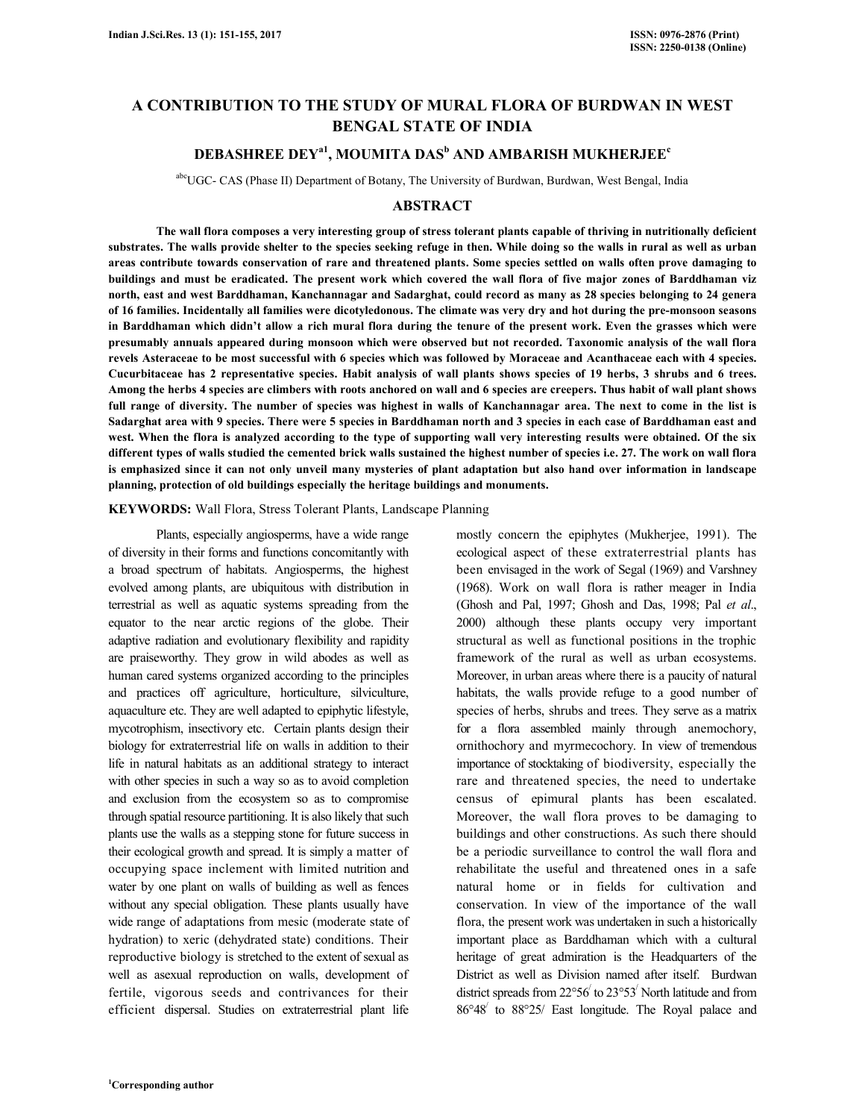# **A CONTRIBUTION TO THE STUDY OF MURAL FLORA OF BURDWAN IN WEST BENGAL STATE OF INDIA**

# **DEBASHREE DEYa1, MOUMITA DAS<sup>b</sup> AND AMBARISH MUKHERJEE<sup>c</sup>**

abcUGC- CAS (Phase II) Department of Botany, The University of Burdwan, Burdwan, West Bengal, India

## **ABSTRACT**

 **The wall flora composes a very interesting group of stress tolerant plants capable of thriving in nutritionally deficient substrates. The walls provide shelter to the species seeking refuge in then. While doing so the walls in rural as well as urban areas contribute towards conservation of rare and threatened plants. Some species settled on walls often prove damaging to buildings and must be eradicated. The present work which covered the wall flora of five major zones of Barddhaman viz north, east and west Barddhaman, Kanchannagar and Sadarghat, could record as many as 28 species belonging to 24 genera of 16 families. Incidentally all families were dicotyledonous. The climate was very dry and hot during the pre-monsoon seasons in Barddhaman which didn't allow a rich mural flora during the tenure of the present work. Even the grasses which were presumably annuals appeared during monsoon which were observed but not recorded. Taxonomic analysis of the wall flora revels Asteraceae to be most successful with 6 species which was followed by Moraceae and Acanthaceae each with 4 species. Cucurbitaceae has 2 representative species. Habit analysis of wall plants shows species of 19 herbs, 3 shrubs and 6 trees. Among the herbs 4 species are climbers with roots anchored on wall and 6 species are creepers. Thus habit of wall plant shows full range of diversity. The number of species was highest in walls of Kanchannagar area. The next to come in the list is Sadarghat area with 9 species. There were 5 species in Barddhaman north and 3 species in each case of Barddhaman east and west. When the flora is analyzed according to the type of supporting wall very interesting results were obtained. Of the six different types of walls studied the cemented brick walls sustained the highest number of species i.e. 27. The work on wall flora is emphasized since it can not only unveil many mysteries of plant adaptation but also hand over information in landscape planning, protection of old buildings especially the heritage buildings and monuments.** 

#### **KEYWORDS:** Wall Flora, Stress Tolerant Plants, Landscape Planning

 Plants, especially angiosperms, have a wide range of diversity in their forms and functions concomitantly with a broad spectrum of habitats. Angiosperms, the highest evolved among plants, are ubiquitous with distribution in terrestrial as well as aquatic systems spreading from the equator to the near arctic regions of the globe. Their adaptive radiation and evolutionary flexibility and rapidity are praiseworthy. They grow in wild abodes as well as human cared systems organized according to the principles and practices off agriculture, horticulture, silviculture, aquaculture etc. They are well adapted to epiphytic lifestyle, mycotrophism, insectivory etc. Certain plants design their biology for extraterrestrial life on walls in addition to their life in natural habitats as an additional strategy to interact with other species in such a way so as to avoid completion and exclusion from the ecosystem so as to compromise through spatial resource partitioning. It is also likely that such plants use the walls as a stepping stone for future success in their ecological growth and spread. It is simply a matter of occupying space inclement with limited nutrition and water by one plant on walls of building as well as fences without any special obligation. These plants usually have wide range of adaptations from mesic (moderate state of hydration) to xeric (dehydrated state) conditions. Their reproductive biology is stretched to the extent of sexual as well as asexual reproduction on walls, development of fertile, vigorous seeds and contrivances for their efficient dispersal. Studies on extraterrestrial plant life

mostly concern the epiphytes (Mukherjee, 1991). The ecological aspect of these extraterrestrial plants has been envisaged in the work of Segal (1969) and Varshney (1968). Work on wall flora is rather meager in India (Ghosh and Pal, 1997; Ghosh and Das, 1998; Pal *et al*., 2000) although these plants occupy very important structural as well as functional positions in the trophic framework of the rural as well as urban ecosystems. Moreover, in urban areas where there is a paucity of natural habitats, the walls provide refuge to a good number of species of herbs, shrubs and trees. They serve as a matrix for a flora assembled mainly through anemochory, ornithochory and myrmecochory. In view of tremendous importance of stocktaking of biodiversity, especially the rare and threatened species, the need to undertake census of epimural plants has been escalated. Moreover, the wall flora proves to be damaging to buildings and other constructions. As such there should be a periodic surveillance to control the wall flora and rehabilitate the useful and threatened ones in a safe natural home or in fields for cultivation and conservation. In view of the importance of the wall flora, the present work was undertaken in such a historically important place as Barddhaman which with a cultural heritage of great admiration is the Headquarters of the District as well as Division named after itself. Burdwan district spreads from 22°56<sup>/</sup> to 23°53<sup>/</sup> North latitude and from 86°48/ to 88°25/ East longitude. The Royal palace and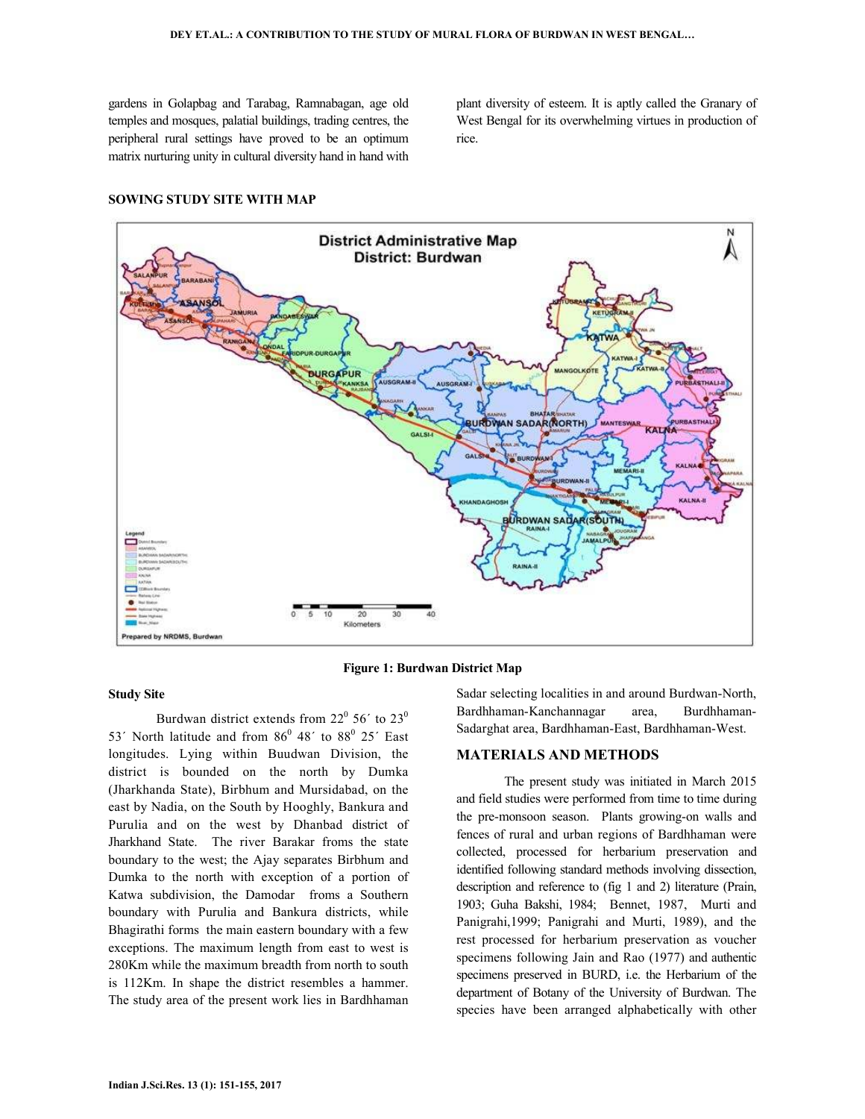gardens in Golapbag and Tarabag, Ramnabagan, age old temples and mosques, palatial buildings, trading centres, the peripheral rural settings have proved to be an optimum matrix nurturing unity in cultural diversity hand in hand with plant diversity of esteem. It is aptly called the Granary of West Bengal for its overwhelming virtues in production of rice.

#### **SOWING STUDY SITE WITH MAP**





#### **Study Site**

Burdwan district extends from  $22^{\circ}$  56' to  $23^{\circ}$ 53<sup> $\prime$ </sup> North latitude and from 86<sup>0</sup> 48 $\prime$  to 88<sup>0</sup> 25 $\prime$  East longitudes. Lying within Buudwan Division, the district is bounded on the north by Dumka (Jharkhanda State), Birbhum and Mursidabad, on the east by Nadia, on the South by Hooghly, Bankura and Purulia and on the west by Dhanbad district of Jharkhand State. The river Barakar froms the state boundary to the west; the Ajay separates Birbhum and Dumka to the north with exception of a portion of Katwa subdivision, the Damodar froms a Southern boundary with Purulia and Bankura districts, while Bhagirathi forms the main eastern boundary with a few exceptions. The maximum length from east to west is 280Km while the maximum breadth from north to south is 112Km. In shape the district resembles a hammer. The study area of the present work lies in Bardhhaman Sadar selecting localities in and around Burdwan-North, Bardhhaman-Kanchannagar area, Burdhhaman-Sadarghat area, Bardhhaman-East, Bardhhaman-West.

#### **MATERIALS AND METHODS**

 The present study was initiated in March 2015 and field studies were performed from time to time during the pre-monsoon season. Plants growing-on walls and fences of rural and urban regions of Bardhhaman were collected, processed for herbarium preservation and identified following standard methods involving dissection, description and reference to (fig 1 and 2) literature (Prain, 1903; Guha Bakshi, 1984; Bennet, 1987, Murti and Panigrahi,1999; Panigrahi and Murti, 1989), and the rest processed for herbarium preservation as voucher specimens following Jain and Rao (1977) and authentic specimens preserved in BURD, i.e. the Herbarium of the department of Botany of the University of Burdwan. The species have been arranged alphabetically with other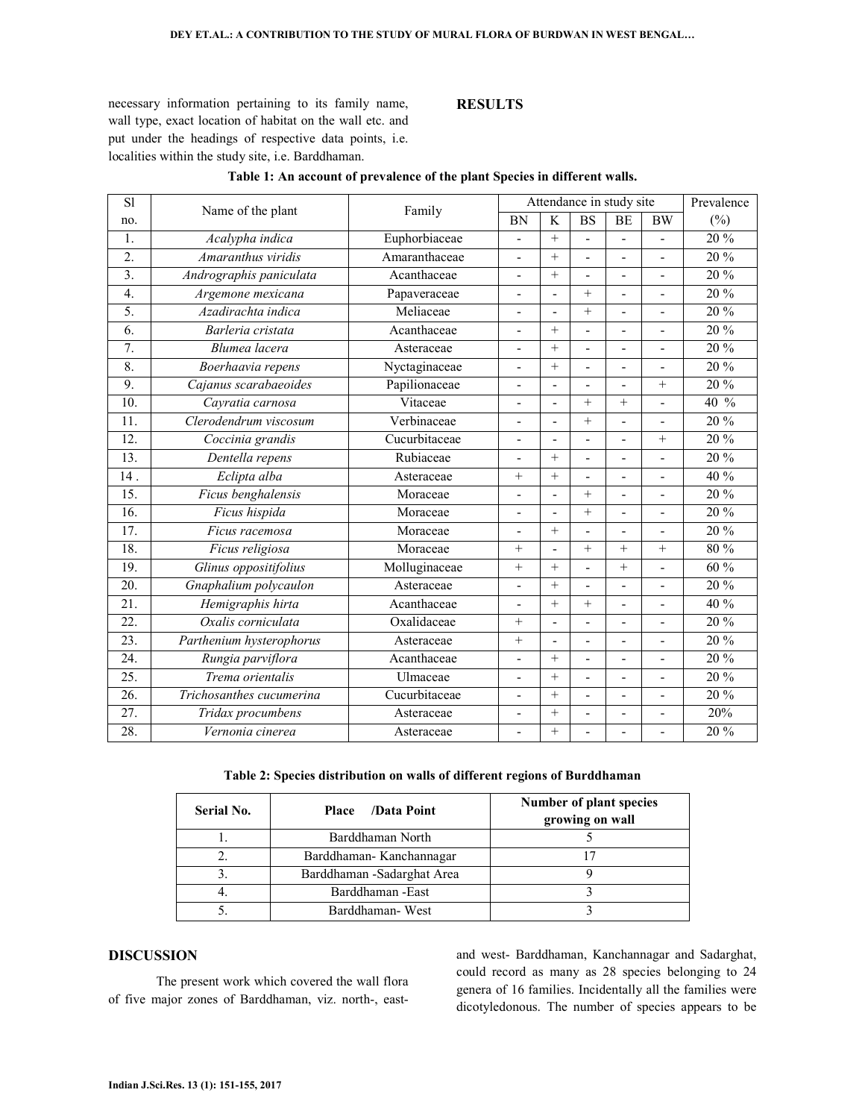necessary information pertaining to its family name, wall type, exact location of habitat on the wall etc. and put under the headings of respective data points, i.e. localities within the study site, i.e. Barddhaman.

### **RESULTS**

| S1                |                          | Family        | Attendance in study site |                |                          |                |                          | Prevalence       |
|-------------------|--------------------------|---------------|--------------------------|----------------|--------------------------|----------------|--------------------------|------------------|
| no.               | Name of the plant        |               | <b>BN</b>                | K              | <b>BS</b>                | BE             | BW                       | $(\% )$          |
| 1.                | Acalypha indica          | Euphorbiaceae | $\overline{a}$           | $+$            | L.                       | $\overline{a}$ | ÷,                       | 20 %             |
| $\overline{2}$ .  | Amaranthus viridis       | Amaranthaceae | $\blacksquare$           | $+$            | ÷,                       | $\blacksquare$ |                          | 20 %             |
| $\overline{3}$ .  | Andrographis paniculata  | Acanthaceae   |                          | $+$            | L.                       | $\overline{a}$ |                          | 20 %             |
| $\overline{4}$ .  | Argemone mexicana        | Papaveraceae  | ÷,                       |                | $+$                      | ÷,             |                          | 20 %             |
| 5.                | Azadirachta indica       | Meliaceae     | $\blacksquare$           | L,             | $+$                      | $\overline{a}$ |                          | 20 %             |
| 6.                | Barleria cristata        | Acanthaceae   | $\overline{\phantom{0}}$ | $+$            | $\overline{a}$           | ÷,             |                          | 20 %             |
| $\overline{7}$ .  | Blumea lacera            | Asteraceae    | $\blacksquare$           | $+$            | $\overline{a}$           | $\blacksquare$ | $\overline{a}$           | 20 %             |
| 8.                | Boerhaavia repens        | Nyctaginaceae | $\blacksquare$           | $+$            | ÷,                       | ÷,             | $\overline{a}$           | 20 %             |
| $\overline{9}$ .  | Cajanus scarabaeoides    | Papilionaceae | $\overline{a}$           |                | $\overline{a}$           |                | $+$                      | 20 %             |
| 10.               | Cayratia carnosa         | Vitaceae      | $\blacksquare$           | ÷,             | $+$                      | $+$            | L,                       | 40 %             |
| 11.               | Clerodendrum viscosum    | Verbinaceae   | $\overline{a}$           |                | $+$                      | $\overline{a}$ |                          | 20 %             |
| 12.               | Coccinia grandis         | Cucurbitaceae | $\overline{\phantom{a}}$ | ٠              | $\overline{a}$           | $\blacksquare$ | $+$                      | 20 %             |
| 13.               | Dentella repens          | Rubiaceae     | $\overline{a}$           | $+$            |                          |                |                          | 20 %             |
| 14.               | Eclipta alba             | Asteraceae    | $+$                      | $+$            | ÷,                       | $\blacksquare$ | $\overline{\phantom{0}}$ | 40 %             |
| $\overline{15}$ . | Ficus benghalensis       | Moraceae      | $\blacksquare$           | ٠              | $+$                      | $\overline{a}$ |                          | 20 %             |
| $\overline{16}$ . | Ficus hispida            | Moraceae      | $\blacksquare$           |                | $+$                      | $\blacksquare$ | $\blacksquare$           | 20 %             |
| 17.               | Ficus racemosa           | Moraceae      | $\blacksquare$           | $+$            | $\overline{\phantom{a}}$ | $\blacksquare$ |                          | 20 %             |
| 18.               | Ficus religiosa          | Moraceae      | $+$                      | ÷,             | $+$                      | $+$            | $^{+}$                   | $80\%$           |
| 19.               | Glinus oppositifolius    | Molluginaceae | $+$                      | $+$            | L.                       | $+$            |                          | 60 %             |
| 20.               | Gnaphalium polycaulon    | Asteraceae    | $\blacksquare$           | $+$            | ÷,                       | $\blacksquare$ | $\overline{\phantom{a}}$ | $20\%$           |
| 21.               | Hemigraphis hirta        | Acanthaceae   | $\blacksquare$           | $+$            | $+$                      | $\overline{a}$ |                          | 40 %             |
| $\overline{22}$ . | Oxalis corniculata       | Oxalidaceae   | $+$                      | $\overline{a}$ | $\overline{a}$           | $\overline{a}$ | ÷,                       | $\frac{1}{20\%}$ |
| $\overline{23}$ . | Parthenium hysterophorus | Asteraceae    | $+$                      | ÷,             | L.                       | $\overline{a}$ |                          | 20 %             |
| 24.               | Rungia parviflora        | Acanthaceae   | $\blacksquare$           | $+$            | $\overline{\phantom{a}}$ | $\overline{a}$ | L,                       | 20 %             |
| 25.               | Trema orientalis         | Ulmaceae      | $\overline{\phantom{a}}$ | $+$            | $\blacksquare$           | $\blacksquare$ |                          | 20 %             |
| $\overline{26}$ . | Trichosanthes cucumerina | Cucurbitaceae | $\blacksquare$           | $+$            | $\overline{a}$           | $\overline{a}$ | $\overline{\phantom{a}}$ | 20 %             |
| 27.               | Tridax procumbens        | Asteraceae    |                          | $+$            |                          |                |                          | 20%              |
| 28.               | Vernonia cinerea         | Asteraceae    | $\blacksquare$           | $+$            | $\blacksquare$           |                | $\blacksquare$           | 20 %             |

#### **Table 1: An account of prevalence of the plant Species in different walls.**

**Table 2: Species distribution on walls of different regions of Burddhaman** 

| <b>Serial No.</b> | /Data Point<br><b>Place</b> | Number of plant species<br>growing on wall |
|-------------------|-----------------------------|--------------------------------------------|
|                   | Barddhaman North            |                                            |
|                   | Barddhaman-Kanchannagar     |                                            |
| 3                 | Barddhaman -Sadarghat Area  |                                            |
|                   | Barddhaman - East           |                                            |
|                   | Barddhaman-West             |                                            |

# **DISCUSSION**

 The present work which covered the wall flora of five major zones of Barddhaman, viz. north-, east-

and west- Barddhaman, Kanchannagar and Sadarghat, could record as many as 28 species belonging to 24 genera of 16 families. Incidentally all the families were dicotyledonous. The number of species appears to be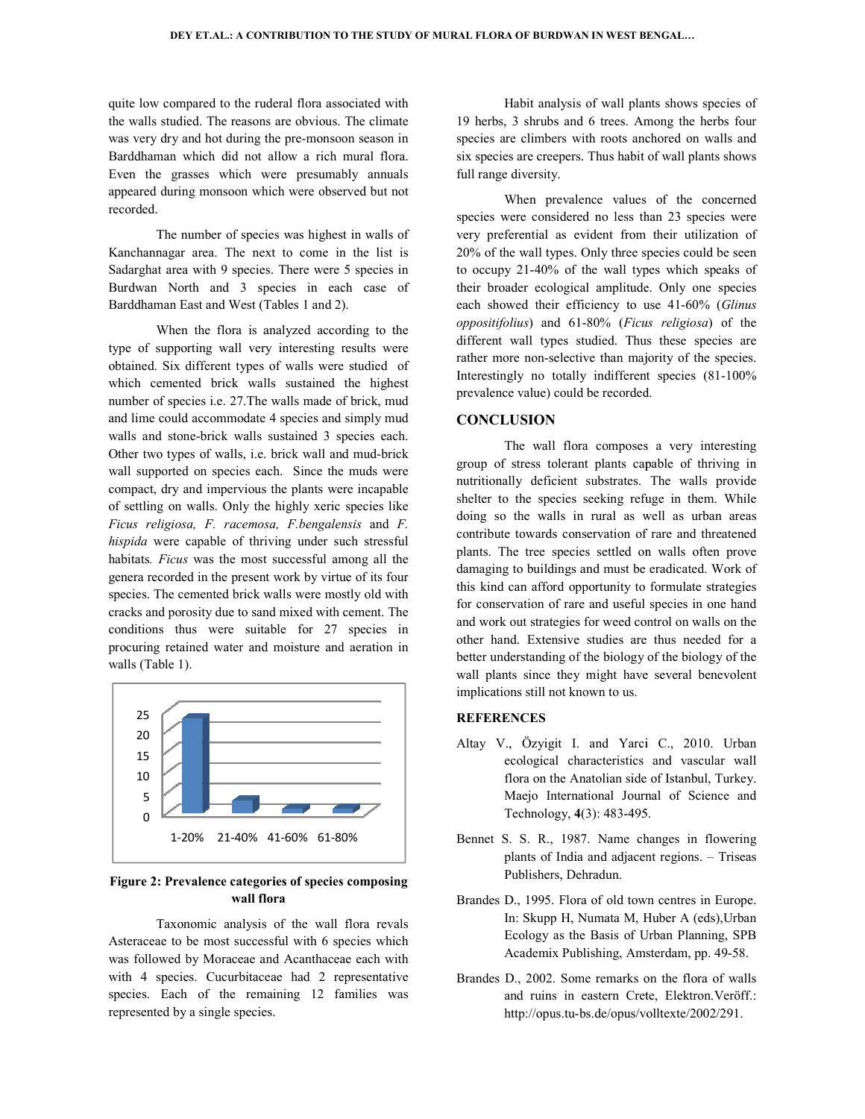quite low compared to the ruderal flora associated with the walls studied. The reasons are obvious. The climate was very dry and hot during the pre-monsoon season in Barddhaman which did not allow a rich mural flora. Even the grasses which were presumably annuals appeared during monsoon which were observed but not recorded.

The number of species was highest in walls of Kanchannagar area. The next to come in the list is Sadarghat area with 9 species. There were 5 species in Burdwan North and 3 species in each case of Barddhaman East and West (Tables 1 and 2).

 When the flora is analyzed according to the type of supporting wall very interesting results were obtained. Six different types of walls were studied of which cemented brick walls sustained the highest number of species i.e. 27.The walls made of brick, mud and lime could accommodate 4 species and simply mud walls and stone-brick walls sustained 3 species each. Other two types of walls, i.e. brick wall and mud-brick wall supported on species each. Since the muds were wall supported on species each. Since the muds were compact, dry and impervious the plants were incapable of settling on walls. Only the highly xeric species like *Ficus religiosa, F. racemosa, F. bengalensis* and *F. hispida* were capable of thriving under such stressful habitats*. Ficus* was the most successful among all the genera recorded in the present work by virtue of its four species. The cemented brick walls were mostly old with cracks and porosity due to sand mixed with cement. The conditions thus were suitable for 27 species in procuring retained water and moisture and aeration in walls (Table 1). quite low compared to the ruderal flora associated with<br>the walls studied. The reasons are obvious. The climate<br>was very dry and hot during the pre-monsoon season in<br>Barddhaman which did not allow a rich mural flora.<br>Even when the missel of material of the missel of the missel of the plants species of the plants species of the missel of the missel of the missel of the missel of the missel of the missel of the missel of the missel of the mis DEY ET.AL.: A CONTIGUENTION TO THE STUDY OF MURAL FLORA OF BURBWAS INVESTIBENTAL...<br>
Simple reduced The reasons are obvious. The climate<br>
under the final pairs of wall plants show<br>
under the reasons are obvious. The climat



**Figure 2: Prevalence categories of species composing wall flora** 

Taxonomic analysis of the wall flora revals Asteraceae to be most successful with 6 species which was followed by Moraceae and Acanthaceae each with with 4 species. Cucurbitaceae had 2 representative species. Each of the remaining 12 families was represented by a single species.

19 herbs, 3 shrubs and 6 trees. Among the herbs four species are climbers with roots anchored on walls and six species are creepers. Thus habit of wall plants shows full range diversity. species of<br>the herbs four<br>l on walls and<br>ll plants shows<br>the concerned<br>species were<br>utilization of<br>could be seen

When prevalence values of the concerned species were considered no less than 23 species were very preferential as evident from their utilization of 20% of the wall types. Only three species to occupy 21-40% of the wall types which speaks of their broader ecological amplitude. Only one species each showed their efficiency to use 41-60% (Glinus *oppositifolius*) and 61-80% (*Ficus religiosa Ficus* ) of the different wall types studied. Thus these species are rather more non-selective than majority of the species. rather more non-selective than majority of the species.<br>Interestingly no totally indifferent species (81-100% prevalence value) could be recorded. 40% of the wall types which speaks of ecological amplitude. Only one species their efficiency to use 41-60% (*Glinus* 

### **CONCLUSION**

The wall flora composes a very interesting group of stress tolerant plants capable of thriving in nutritionally deficient substrates. The walls provide shelter to the species seeking refuge in them. While doing so the walls in rural as well as urban areas contribute towards conservation of rare and threatened plants. The tree species settled on walls often prove damaging to buildings and must be eradicated. Work of this kind can afford opportunity to formulate strategies for conservation of rare and useful species in one hand and work out strategies for weed control other hand. Extensive studies are thus needed for a better understanding of the biology of the biology of the wall plants since they might have several benevolent implications still not known to us. shelter to the species seeking refuge in them. While doing so the walls in rural as well as urban areas contribute towards conservation of rare and threatened plants. The tree species settled on walls often prove damaging her hand. Extensive studies are thus needed for a<br>tter understanding of the biology of the biology of the<br>all plants since they might have several benevolent<br>plications still not known to us.<br>**EFERENCES**<br>Itay V., Özyigit I

### **REFERENCES**

- Altay V., Özyigit I. and Yarci C., 2010. Urban ecological characteristics and vascular wall flora on the Anatolian side of Istanbul, Turkey. Maejo International Journal of Science and Technology, **4**(3): 483-495. on the Anatolian side of Istanbul, Turkey.<br>
o International Journal of Science and<br>
nology, 4(3): 483-495.<br>
R., 1987. Name changes in flowering<br>
s of India and adjacent regions. – Triseas
- Bennet S. S. R., 1987. Name changes in flowering plants of India and adjacent regions Publishers, Dehradun.
- Brandes D., 1995. Flora of old town centres in Europe. In: Skupp H, Numata M, Huber A (eds),Urban Ecology as the Basis of Urban Planning, SPB Academix Publishing, Amsterdam, M, Huber A (eds),Urbaı<br>of Urban Planning, SPI<br>Amsterdam, pp. 49-58.
- Brandes D., 2002. Some remarks on the flora of walls and ruins in eastern Crete, Elektron.Veröff.: and ruins in eastern Crete, Elektron. Veröf<br>http://opus.tu-bs.de/opus/volltexte/2002/291.